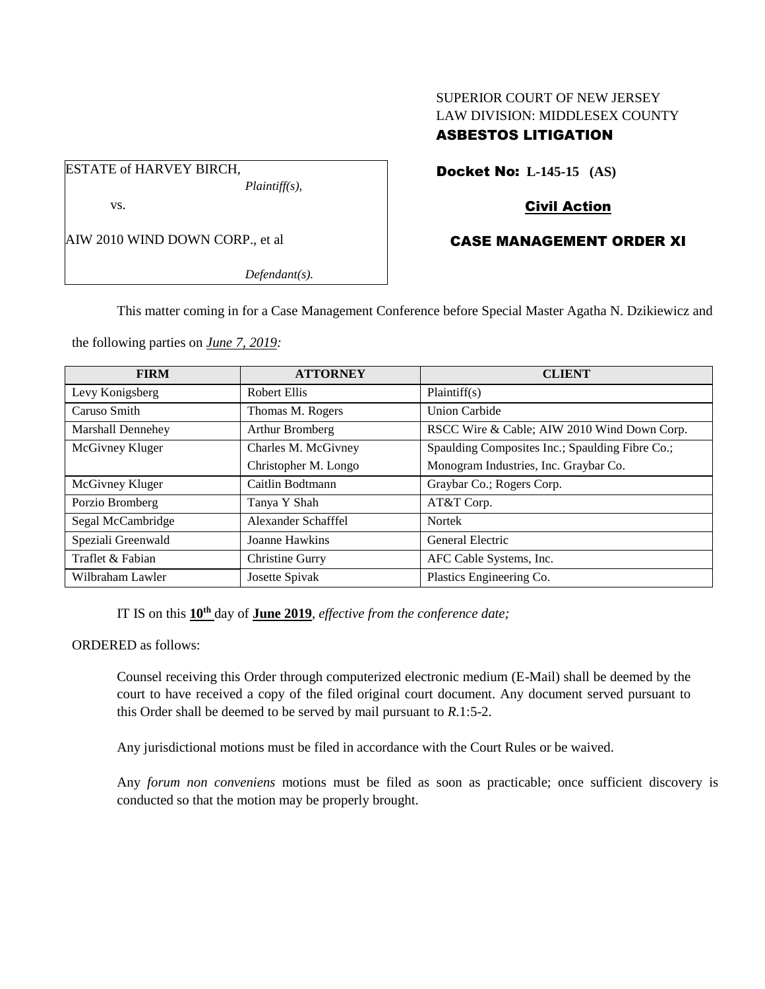# SUPERIOR COURT OF NEW JERSEY LAW DIVISION: MIDDLESEX COUNTY ASBESTOS LITIGATION

ESTATE of HARVEY BIRCH, *Plaintiff(s),* vs.

AIW 2010 WIND DOWN CORP., et al

*Defendant(s).*

Docket No: **L-145-15 (AS)** 

# Civil Action

# CASE MANAGEMENT ORDER XI

This matter coming in for a Case Management Conference before Special Master Agatha N. Dzikiewicz and

the following parties on *June 7, 2019:*

| <b>FIRM</b>              | <b>ATTORNEY</b>      | <b>CLIENT</b>                                   |
|--------------------------|----------------------|-------------------------------------------------|
| Levy Konigsberg          | Robert Ellis         | Plaintiff(s)                                    |
| Caruso Smith             | Thomas M. Rogers     | Union Carbide                                   |
| <b>Marshall Dennehey</b> | Arthur Bromberg      | RSCC Wire & Cable; AIW 2010 Wind Down Corp.     |
| McGivney Kluger          | Charles M. McGivney  | Spaulding Composites Inc.; Spaulding Fibre Co.; |
|                          | Christopher M. Longo | Monogram Industries, Inc. Graybar Co.           |
| McGivney Kluger          | Caitlin Bodtmann     | Graybar Co.; Rogers Corp.                       |
| Porzio Bromberg          | Tanya Y Shah         | AT&T Corp.                                      |
| Segal McCambridge        | Alexander Schafffel  | <b>Nortek</b>                                   |
| Speziali Greenwald       | Joanne Hawkins       | General Electric                                |
| Traflet & Fabian         | Christine Gurry      | AFC Cable Systems, Inc.                         |
| Wilbraham Lawler         | Josette Spivak       | Plastics Engineering Co.                        |

IT IS on this **10th** day of **June 2019**, *effective from the conference date;*

ORDERED as follows:

Counsel receiving this Order through computerized electronic medium (E-Mail) shall be deemed by the court to have received a copy of the filed original court document. Any document served pursuant to this Order shall be deemed to be served by mail pursuant to *R*.1:5-2.

Any jurisdictional motions must be filed in accordance with the Court Rules or be waived.

Any *forum non conveniens* motions must be filed as soon as practicable; once sufficient discovery is conducted so that the motion may be properly brought.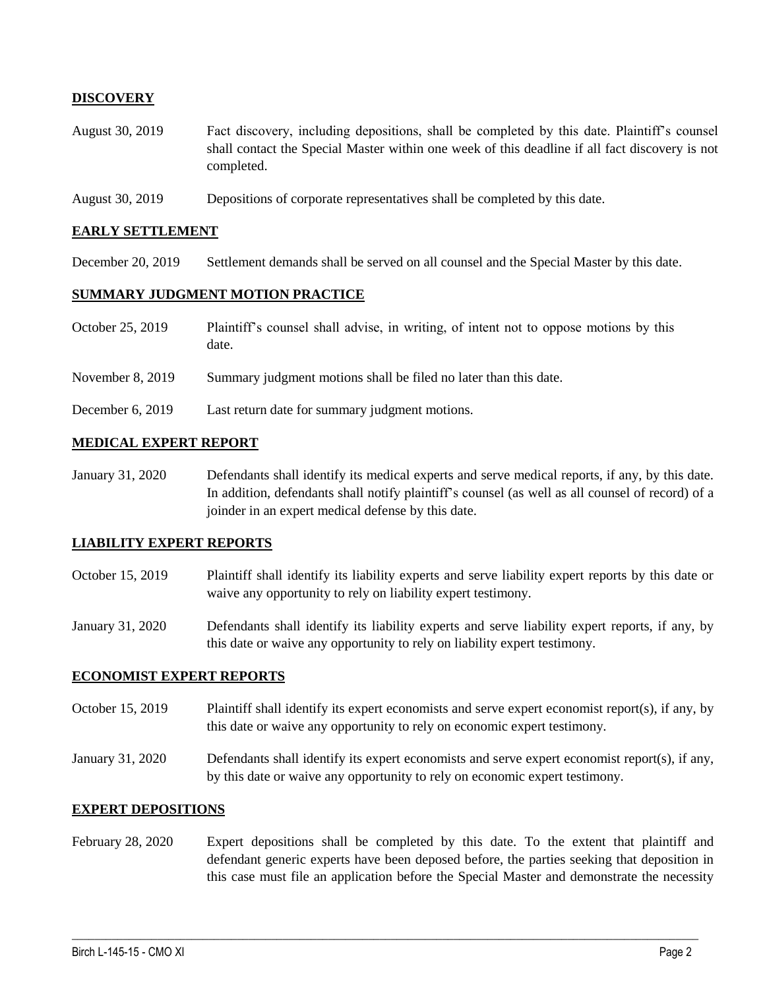# **DISCOVERY**

- August 30, 2019 Fact discovery, including depositions, shall be completed by this date. Plaintiff's counsel shall contact the Special Master within one week of this deadline if all fact discovery is not completed.
- August 30, 2019 Depositions of corporate representatives shall be completed by this date.

#### **EARLY SETTLEMENT**

December 20, 2019 Settlement demands shall be served on all counsel and the Special Master by this date.

#### **SUMMARY JUDGMENT MOTION PRACTICE**

- October 25, 2019 Plaintiff's counsel shall advise, in writing, of intent not to oppose motions by this date.
- November 8, 2019 Summary judgment motions shall be filed no later than this date.
- December 6, 2019 Last return date for summary judgment motions.

# **MEDICAL EXPERT REPORT**

January 31, 2020 Defendants shall identify its medical experts and serve medical reports, if any, by this date. In addition, defendants shall notify plaintiff's counsel (as well as all counsel of record) of a joinder in an expert medical defense by this date.

### **LIABILITY EXPERT REPORTS**

- October 15, 2019 Plaintiff shall identify its liability experts and serve liability expert reports by this date or waive any opportunity to rely on liability expert testimony.
- January 31, 2020 Defendants shall identify its liability experts and serve liability expert reports, if any, by this date or waive any opportunity to rely on liability expert testimony.

### **ECONOMIST EXPERT REPORTS**

- October 15, 2019 Plaintiff shall identify its expert economists and serve expert economist report(s), if any, by this date or waive any opportunity to rely on economic expert testimony.
- January 31, 2020 Defendants shall identify its expert economists and serve expert economist report(s), if any, by this date or waive any opportunity to rely on economic expert testimony.

### **EXPERT DEPOSITIONS**

February 28, 2020 Expert depositions shall be completed by this date. To the extent that plaintiff and defendant generic experts have been deposed before, the parties seeking that deposition in this case must file an application before the Special Master and demonstrate the necessity

 $\_$  , and the set of the set of the set of the set of the set of the set of the set of the set of the set of the set of the set of the set of the set of the set of the set of the set of the set of the set of the set of th